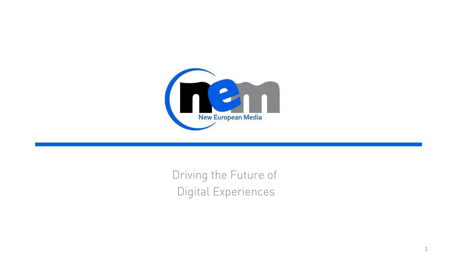

Driving the Future of Digital Experiences

1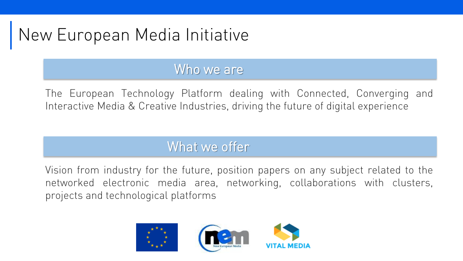# New European Media Initiative

#### Who we are

The European Technology Platform dealing with Connected, Converging and Interactive Media & Creative Industries, driving the future of digital experience

### What we offer

Vision from industry for the future, position papers on any subject related to the networked electronic media area, networking, collaborations with clusters, projects and technological platforms

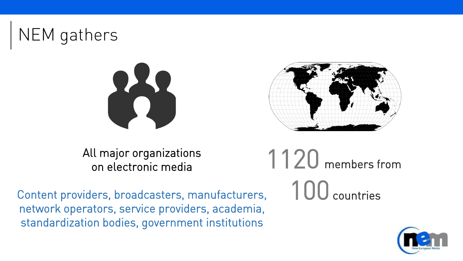





All major organizations on electronic media

Content providers, broadcasters, manufacturers, network operators, service providers, academia, standardization bodies, government institutions



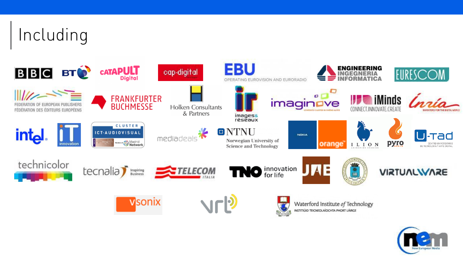# Including



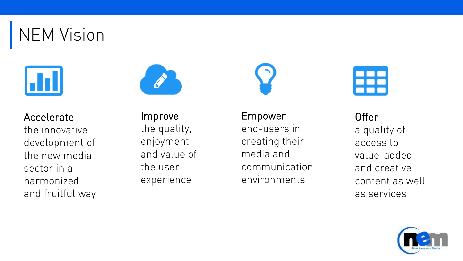NEM Vision





Accelerate the innovative development of the new media sector in a harmonized and fruitful way

Improve the quality, enjoyment and value of the user experience

Empower end-users in creating their media and communication environments



**Offer** a quality of access to value-added and creative content as well as services

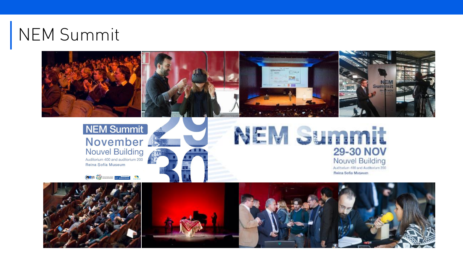# NEM Summit







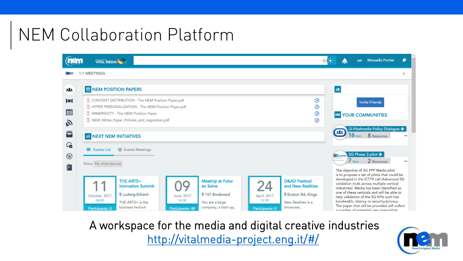# NEM Collaboration Platform



A workspace for the media and digital creative industries <http://vitalmedia-project.eng.it/#/>

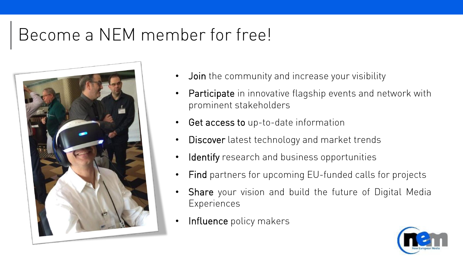### Become a NEM member for free!



- Join the community and increase your visibility
- Participate in innovative flagship events and network with prominent stakeholders
- Get access to up-to-date information
- Discover latest technology and market trends
- Identify research and business opportunities
- Find partners for upcoming EU-funded calls for projects
- Share your vision and build the future of Digital Media **Experiences**
- Influence policy makers

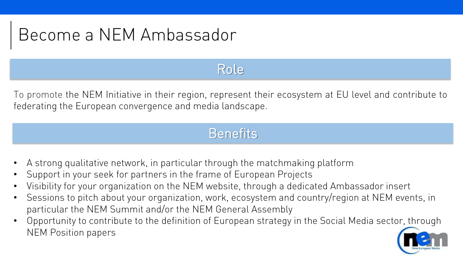## Become a NEM Ambassador

### Role

To promote the NEM Initiative in their region, represent their ecosystem at EU level and contribute to federating the European convergence and media landscape.

#### **Benefits**

- A strong qualitative network, in particular through the matchmaking platform
- Support in your seek for partners in the frame of European Projects
- Visibility for your organization on the NEM website, through a dedicated Ambassador insert
- Sessions to pitch about your organization, work, ecosystem and country/region at NEM events, in particular the NEM Summit and/or the NEM General Assembly
- Opportunity to contribute to the definition of European strategy in the Social Media sector, through NEM Position papers